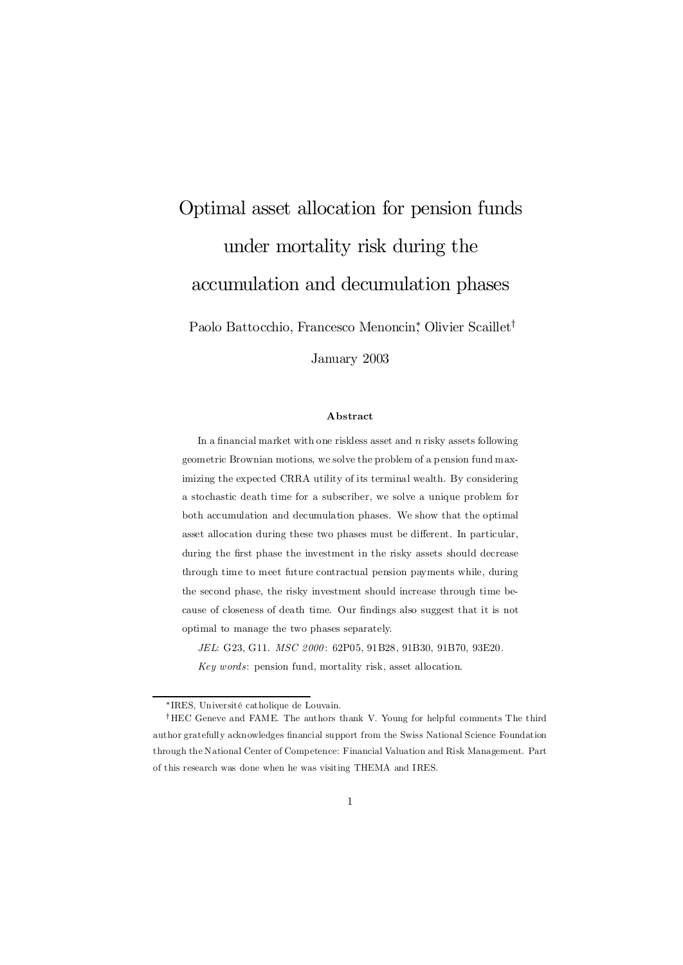# Optimal asset allocation for pension funds under mortality risk during the accumulation and decumulation phases

Paolo Battocchio, Francesco Menoncin<sup>\*</sup>, Olivier Scaillet<sup>†</sup>

January 2003

#### Abstract

In a financial market with one riskless asset and  $n$  risky assets following geometric Brownian motions, we solve the problem of a pension fund maximizing the expected CRRA utility of its terminal wealth. By considering a stochastic death time for a subscriber, we solve a unique problem for both accumulation and decumulation phases. We show that the optimal asset allocation during these two phases must be different. In particular, during the first phase the investment in the risky assets should decrease through time to meet future contractual pension payments while, during the second phase, the risky investment should increase through time because of closeness of death time. Our findings also suggest that it is not optimal to manage the two phases separately.

JEL: G23, G11. MSC 2000: 62P05, 91B28, 91B30, 91B70, 93E20. Key words: pension fund, mortality risk, asset allocation.

<sup>¤</sup> IRES, Université catholique de Louvain.

<sup>&</sup>lt;sup>†</sup>HEC Geneve and FAME. The authors thank V. Young for helpful comments The third author gratefully acknowledges financial support from the Swiss National Science Foundation through the National Center of Competence: Financial Valuation and Risk Management. Part of this research was done when he was visiting THEMA and IRES.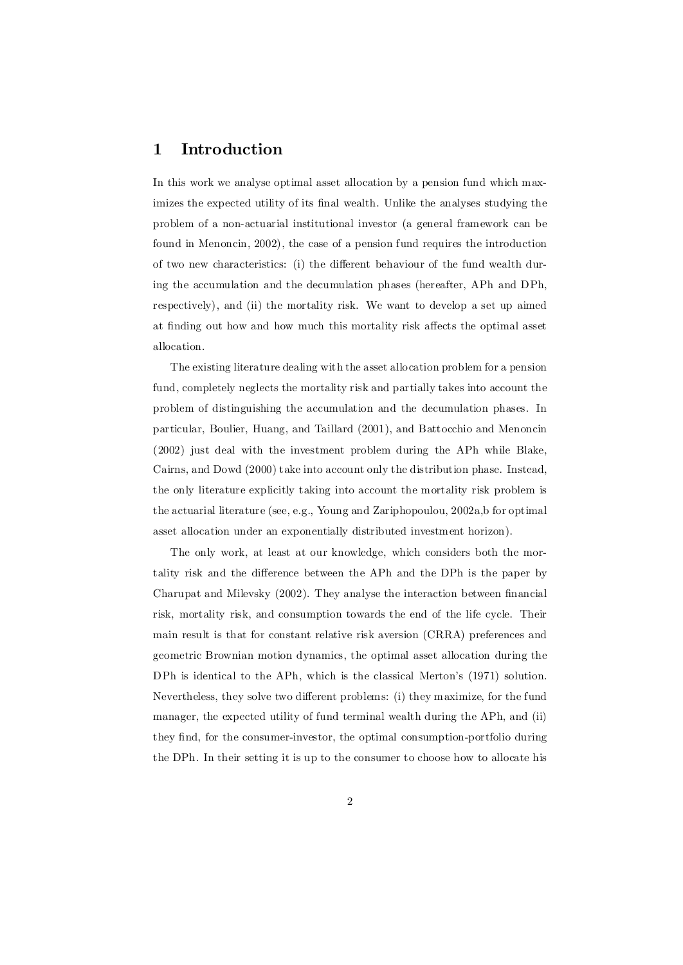# 1 Introduction

In this work we analyse optimal asset allocation by a pension fund which maximizes the expected utility of its final wealth. Unlike the analyses studying the problem of a non-actuarial institutional investor (a general framework can be found in Menoncin, 2002), the case of a pension fund requires the introduction of two new characteristics: (i) the different behaviour of the fund wealth during the accumulation and the decumulation phases (hereafter, APh and DPh, respectively), and (ii) the mortality risk. We want to develop a set up aimed at finding out how and how much this mortality risk affects the optimal asset allocation.

The existing literature dealing with the asset allocation problem for a pension fund, completely neglects the mortality risk and partially takes into account the problem of distinguishing the accumulation and the decumulation phases. In particular, Boulier, Huang, and Taillard (2001), and Battocchio and Menoncin (2002) just deal with the investment problem during the APh while Blake, Cairns, and Dowd (2000) take into account only the distribution phase. Instead, the only literature explicitly taking into account the mortality risk problem is the actuarial literature (see, e.g., Young and Zariphopoulou, 2002a,b for optimal asset allocation under an exponentially distributed investment horizon).

The only work, at least at our knowledge, which considers both the mortality risk and the difference between the APh and the DPh is the paper by Charupat and Milevsky  $(2002)$ . They analyse the interaction between financial risk, mortality risk, and consumption towards the end of the life cycle. Their main result is that for constant relative risk aversion (CRRA) preferences and geometric Brownian motion dynamics, the optimal asset allocation during the DPh is identical to the APh, which is the classical Merton's (1971) solution. Nevertheless, they solve two different problems: (i) they maximize, for the fund manager, the expected utility of fund terminal wealth during the APh, and (ii) they find, for the consumer-investor, the optimal consumption-portfolio during the DPh. In their setting it is up to the consumer to choose how to allocate his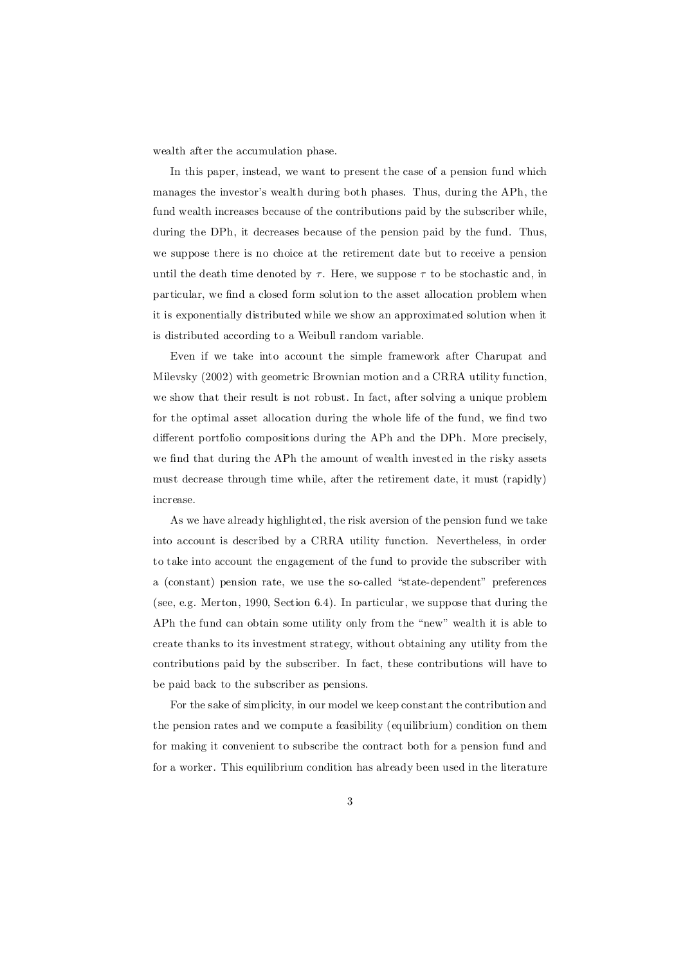wealth after the accumulation phase.

In this paper, instead, we want to present the case of a pension fund which manages the investor's wealth during both phases. Thus, during the APh, the fund wealth increases because of the contributions paid by the subscriber while, during the DPh, it decreases because of the pension paid by the fund. Thus, we suppose there is no choice at the retirement date but to receive a pension until the death time denoted by  $\tau$ . Here, we suppose  $\tau$  to be stochastic and, in particular, we find a closed form solution to the asset allocation problem when it is exponentially distributed while we show an approximated solution when it is distributed according to a Weibull random variable.

Even if we take into account the simple framework after Charupat and Milevsky (2002) with geometric Brownian motion and a CRRA utility function, we show that their result is not robust. In fact, after solving a unique problem for the optimal asset allocation during the whole life of the fund, we find two different portfolio compositions during the APh and the DPh. More precisely, we find that during the APh the amount of wealth invested in the risky assets must decrease through time while, after the retirement date, it must (rapidly) increase.

As we have already highlighted, the risk aversion of the pension fund we take into account is described by a CRRA utility function. Nevertheless, in order to take into account the engagement of the fund to provide the subscriber with a (constant) pension rate, we use the so-called "state-dependent" preferences (see, e.g. Merton, 1990, Section 6.4). In particular, we suppose that during the APh the fund can obtain some utility only from the "new" wealth it is able to create thanks to its investment strategy, without obtaining any utility from the contributions paid by the subscriber. In fact, these contributions will have to be paid back to the subscriber as pensions.

For the sake of simplicity, in our model we keep constant the contribution and the pension rates and we compute a feasibility (equilibrium) condition on them for making it convenient to subscribe the contract both for a pension fund and for a worker. This equilibrium condition has already been used in the literature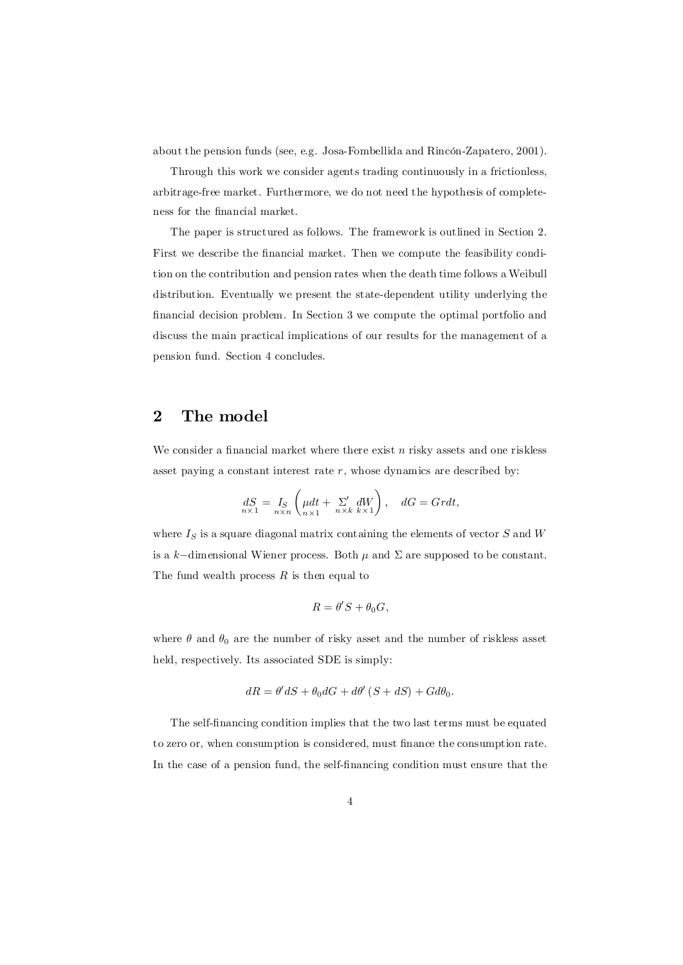about the pension funds (see, e.g. Josa-Fombellida and Rincón-Zapatero, 2001).

Through this work we consider agents trading continuously in a frictionless, arbitrage-free market. Furthermore, we do not need the hypothesis of completeness for the financial market.

The paper is structured as follows. The framework is outlined in Section 2. First we describe the financial market. Then we compute the feasibility condition on the contribution and pension rates when the death time follows a Weibull distribution. Eventually we present the state-dependent utility underlying the financial decision problem. In Section 3 we compute the optimal portfolio and discuss the main practical implications of our results for the management of a pension fund. Section 4 concludes.

## 2 The model

We consider a financial market where there exist n risky assets and one riskless asset paying a constant interest rate  $r$ , whose dynamics are described by:

$$
dS = I_S \left( \mu dt + \sum_{n \times n}^{\prime} dW \right), \quad dG = Grdt,
$$

where  $I_S$  is a square diagonal matrix containing the elements of vector  $S$  and  $W$ is a k–dimensional Wiener process. Both  $\mu$  and  $\Sigma$  are supposed to be constant. The fund wealth process  $R$  is then equal to

$$
R=\theta'S+\theta_0G,
$$

where  $\theta$  and  $\theta_0$  are the number of risky asset and the number of riskless asset held, respectively. Its associated SDE is simply:

$$
dR = \theta' dS + \theta_0 dG + d\theta' (S + dS) + G d\theta_0.
$$

The self-financing condition implies that the two last terms must be equated to zero or, when consumption is considered, must finance the consumption rate. In the case of a pension fund, the self-financing condition must ensure that the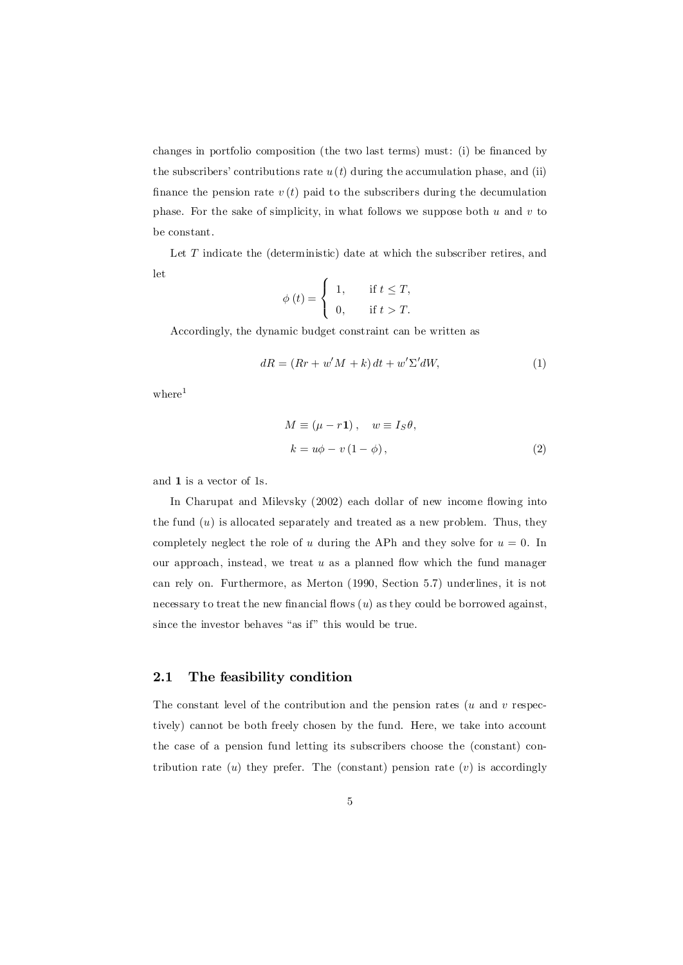changes in portfolio composition (the two last terms) must: (i) be financed by the subscribers' contributions rate  $u(t)$  during the accumulation phase, and (ii) finance the pension rate  $v(t)$  paid to the subscribers during the decumulation phase. For the sake of simplicity, in what follows we suppose both  $u$  and  $v$  to be constant.

Let T indicate the (deterministic) date at which the subscriber retires, and let

$$
\phi(t) = \begin{cases} 1, & \text{if } t \leq T, \\ 0, & \text{if } t > T. \end{cases}
$$

Accordingly, the dynamic budget constraint can be written as

$$
dR = (Rr + w'M + k) dt + w'\Sigma'dW,
$$
\n(1)

where<sup>1</sup>

$$
M \equiv (\mu - r\mathbf{1}), \quad w \equiv I_S \theta,
$$
  

$$
k = u\phi - v(1 - \phi), \qquad (2)
$$

and 1 is a vector of 1s.

In Charupat and Milevsky  $(2002)$  each dollar of new income flowing into the fund  $(u)$  is allocated separately and treated as a new problem. Thus, they completely neglect the role of u during the APh and they solve for  $u = 0$ . In our approach, instead, we treat  $u$  as a planned flow which the fund manager can rely on. Furthermore, as Merton (1990, Section 5.7) underlines, it is not necessary to treat the new financial flows  $(u)$  as they could be borrowed against, since the investor behaves "as if" this would be true.

#### 2.1 The feasibility condition

The constant level of the contribution and the pension rates  $(u \text{ and } v \text{ respectively})$ tively) cannot be both freely chosen by the fund. Here, we take into account the case of a pension fund letting its subscribers choose the (constant) contribution rate  $(u)$  they prefer. The (constant) pension rate  $(v)$  is accordingly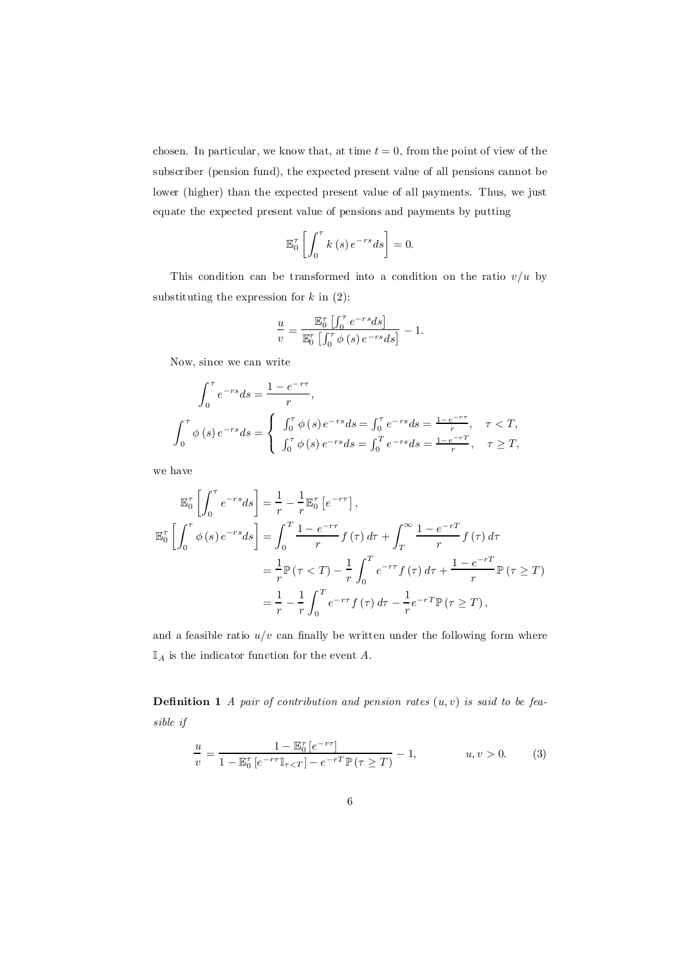chosen. In particular, we know that, at time  $t = 0$ , from the point of view of the subscriber (pension fund), the expected present value of all pensions cannot be lower (higher) than the expected present value of all payments. Thus, we just equate the expected present value of pensions and payments by putting

$$
\mathbb{E}_0^{\tau} \left[ \int_0^{\tau} k(s) e^{-rs} ds \right] = 0.
$$

This condition can be transformed into a condition on the ratio  $v/u$  by substituting the expression for  $k$  in  $(2)$ :

$$
\frac{u}{v} = \frac{\mathbb{E}^\tau_0 \left[ \int_0^\tau e^{-rs} ds \right]}{\mathbb{E}^\tau_0 \left[ \int_0^\tau \phi \left( s \right) e^{-rs} ds \right]} - 1.
$$

Now, since we can write

$$
\int_0^{\tau} e^{-rs} ds = \frac{1 - e^{-r\tau}}{r},
$$
  

$$
\int_0^{\tau} \phi(s) e^{-rs} ds = \begin{cases} \int_0^{\tau} \phi(s) e^{-rs} ds = \int_0^{\tau} e^{-rs} ds = \frac{1 - e^{-r\tau}}{r}, & \tau < T, \\ \int_0^{\tau} \phi(s) e^{-rs} ds = \int_0^T e^{-rs} ds = \frac{1 - e^{-r\tau}}{r}, & \tau \ge T, \end{cases}
$$

we have

$$
\mathbb{E}_0^{\tau} \left[ \int_0^{\tau} e^{-rs} ds \right] = \frac{1}{r} - \frac{1}{r} \mathbb{E}_0^{\tau} \left[ e^{-r\tau} \right],
$$
  

$$
\mathbb{E}_0^{\tau} \left[ \int_0^{\tau} \phi(s) e^{-rs} ds \right] = \int_0^{\tau} \frac{1 - e^{-r\tau}}{r} f(\tau) d\tau + \int_T^{\infty} \frac{1 - e^{-rT}}{r} f(\tau) d\tau
$$
  

$$
= \frac{1}{r} \mathbb{P}(\tau < T) - \frac{1}{r} \int_0^T e^{-r\tau} f(\tau) d\tau + \frac{1 - e^{-rT}}{r} \mathbb{P}(\tau \ge T)
$$
  

$$
= \frac{1}{r} - \frac{1}{r} \int_0^T e^{-r\tau} f(\tau) d\tau - \frac{1}{r} e^{-rT} \mathbb{P}(\tau \ge T),
$$

and a feasible ratio  $u/v$  can finally be written under the following form where  $\mathbb{I}_A$  is the indicator function for the event A.

**Definition 1** A pair of contribution and pension rates  $(u, v)$  is said to be feasible if

$$
\frac{u}{v} = \frac{1 - \mathbb{E}_0^{\tau} \left[ e^{-r\tau} \right]}{1 - \mathbb{E}_0^{\tau} \left[ e^{-r\tau} \mathbb{I}_{\tau < T} \right] - e^{-rT} \mathbb{P} \left( \tau \ge T \right)} - 1, \qquad u, v > 0. \tag{3}
$$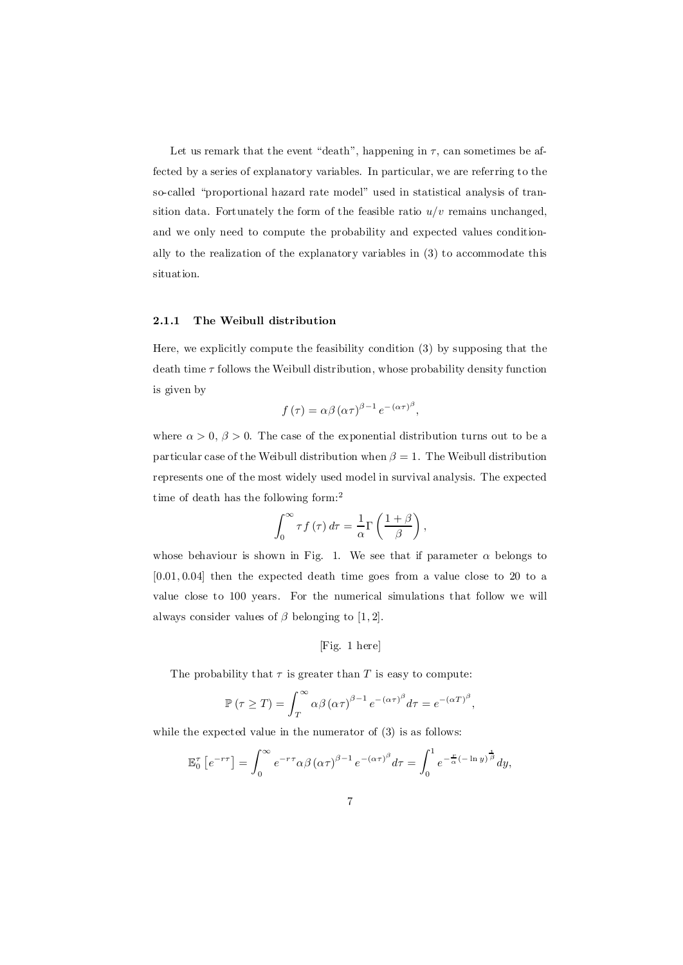Let us remark that the event "death", happening in  $\tau$ , can sometimes be affected by a series of explanatory variables. In particular, we are referring to the so-called "proportional hazard rate model" used in statistical analysis of transition data. Fortunately the form of the feasible ratio  $u/v$  remains unchanged, and we only need to compute the probability and expected values conditionally to the realization of the explanatory variables in (3) to accommodate this situation.

#### 2.1.1 The Weibull distribution

Here, we explicitly compute the feasibility condition (3) by supposing that the death time  $\tau$  follows the Weibull distribution, whose probability density function is given by

$$
f(\tau) = \alpha \beta (\alpha \tau)^{\beta - 1} e^{-(\alpha \tau)^{\beta}},
$$

where  $\alpha > 0$ ,  $\beta > 0$ . The case of the exponential distribution turns out to be a particular case of the Weibull distribution when  $\beta = 1$ . The Weibull distribution represents one of the most widely used model in survival analysis. The expected time of death has the following form: 2

$$
\int_0^\infty \tau f(\tau) d\tau = \frac{1}{\alpha} \Gamma\left(\frac{1+\beta}{\beta}\right),\,
$$

whose behaviour is shown in Fig. 1. We see that if parameter  $\alpha$  belongs to  $[0.01, 0.04]$  then the expected death time goes from a value close to 20 to a value close to 100 years. For the numerical simulations that follow we will always consider values of  $\beta$  belonging to [1, 2].

### [Fig. 1 here]

The probability that  $\tau$  is greater than T is easy to compute:

$$
\mathbb{P}(\tau \geq T) = \int_{T}^{\infty} \alpha \beta (\alpha \tau)^{\beta - 1} e^{-(\alpha \tau)^{\beta}} d\tau = e^{-(\alpha T)^{\beta}},
$$

while the expected value in the numerator of  $(3)$  is as follows:

$$
\mathbb{E}_0^{\tau} \left[ e^{-r\tau} \right] = \int_0^{\infty} e^{-r\tau} \alpha \beta \left( \alpha \tau \right)^{\beta - 1} e^{-\left( \alpha \tau \right)^{\beta}} d\tau = \int_0^1 e^{-\frac{x}{\alpha} \left( -\ln y \right)^{\frac{1}{\beta}}} dy,
$$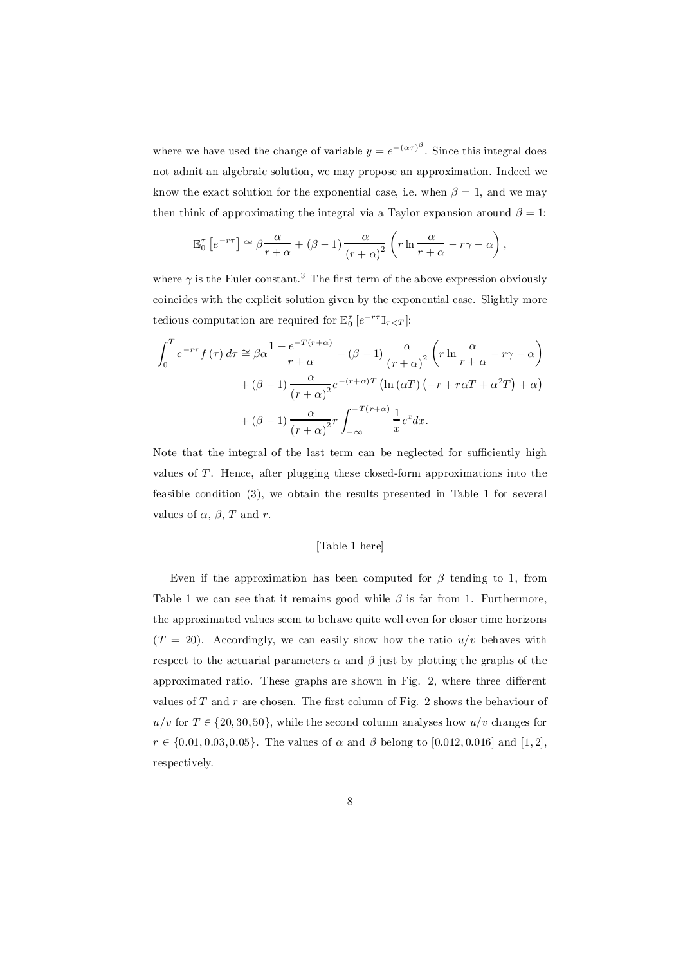where we have used the change of variable  $y = e^{-(\alpha \tau)^{\beta}}$ . Since this integral does not admit an algebraic solution, we may propose an approximation. Indeed we know the exact solution for the exponential case, i.e. when  $\beta = 1$ , and we may then think of approximating the integral via a Taylor expansion around  $\beta = 1$ :

$$
\mathbb{E}_0^{\tau} \left[ e^{-r\tau} \right] \simeq \beta \frac{\alpha}{r + \alpha} + (\beta - 1) \frac{\alpha}{(r + \alpha)^2} \left( r \ln \frac{\alpha}{r + \alpha} - r\gamma - \alpha \right),
$$

where  $\gamma$  is the Euler constant.<sup>3</sup> The first term of the above expression obviously coincides with the explicit solution given by the exponential case. Slightly more tedious computation are required for  $\mathbb{E}_{0}^{\tau}$  [ $e^{-r\tau}\mathbb{I}_{\tau< T}$ ]:

$$
\int_0^T e^{-r\tau} f(\tau) d\tau \approx \beta \alpha \frac{1 - e^{-T(r+\alpha)}}{r+\alpha} + (\beta - 1) \frac{\alpha}{(r+\alpha)^2} \left( r \ln \frac{\alpha}{r+\alpha} - r\gamma - \alpha \right)
$$

$$
+ (\beta - 1) \frac{\alpha}{(r+\alpha)^2} e^{-(r+\alpha)T} \left( \ln (\alpha T) \left( -r + r\alpha T + \alpha^2 T \right) + \alpha \right)
$$

$$
+ (\beta - 1) \frac{\alpha}{(r+\alpha)^2} r \int_{-\infty}^{-T(r+\alpha)} \frac{1}{x} e^x dx.
$$

Note that the integral of the last term can be neglected for sufficiently high values of  $T$ . Hence, after plugging these closed-form approximations into the feasible condition (3), we obtain the results presented in Table 1 for several values of  $\alpha$ ,  $\beta$ , T and r.

#### [Table 1 here]

Even if the approximation has been computed for  $\beta$  tending to 1, from Table 1 we can see that it remains good while  $\beta$  is far from 1. Furthermore, the approximated values seem to behave quite well even for closer time horizons  $(T = 20)$ . Accordingly, we can easily show how the ratio  $u/v$  behaves with respect to the actuarial parameters  $\alpha$  and  $\beta$  just by plotting the graphs of the approximated ratio. These graphs are shown in Fig.  $2$ , where three different values of  $T$  and  $r$  are chosen. The first column of Fig. 2 shows the behaviour of  $u/v$  for  $T \in \{20, 30, 50\}$ , while the second column analyses how  $u/v$  changes for  $r \in \{0.01, 0.03, 0.05\}$ . The values of  $\alpha$  and  $\beta$  belong to [0.012, 0.016] and [1, 2], respectively.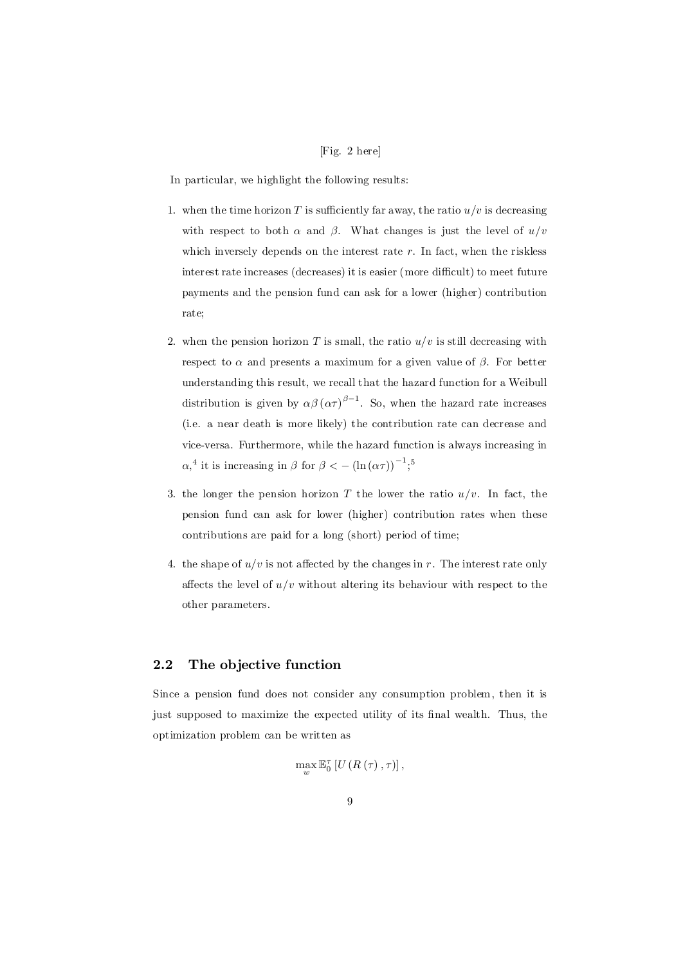#### [Fig. 2 here]

In particular, we highlight the following results:

- 1. when the time horizon T is sufficiently far away, the ratio  $u/v$  is decreasing with respect to both  $\alpha$  and  $\beta$ . What changes is just the level of  $u/v$ which inversely depends on the interest rate  $r$ . In fact, when the riskless interest rate increases (decreases) it is easier (more difficult) to meet future payments and the pension fund can ask for a lower (higher) contribution rate;
- 2. when the pension horizon T is small, the ratio  $u/v$  is still decreasing with respect to  $\alpha$  and presents a maximum for a given value of  $\beta$ . For better understanding this result, we recall that the hazard function for a Weibull distribution is given by  $\alpha\beta(\alpha\tau)^{\beta-1}$ . So, when the hazard rate increases (i.e. a near death is more likely) the contribution rate can decrease and vice-versa. Furthermore, while the hazard function is always increasing in  $\alpha$ <sup>4</sup> it is increasing in  $\beta$  for  $\beta < -(\ln(\alpha \tau))^{-1}$ ;<sup>5</sup>
- 3. the longer the pension horizon T the lower the ratio  $u/v$ . In fact, the pension fund can ask for lower (higher) contribution rates when these contributions are paid for a long (short) period of time;
- 4. the shape of  $u/v$  is not affected by the changes in r. The interest rate only affects the level of  $u/v$  without altering its behaviour with respect to the other parameters.

### 2.2 The objective function

Since a pension fund does not consider any consumption problem, then it is just supposed to maximize the expected utility of its final wealth. Thus, the optimization problem can be written as

$$
\max_{w} \mathbb{E}_{0}^{\tau} \left[ U\left(R\left(\tau\right),\tau\right)\right],
$$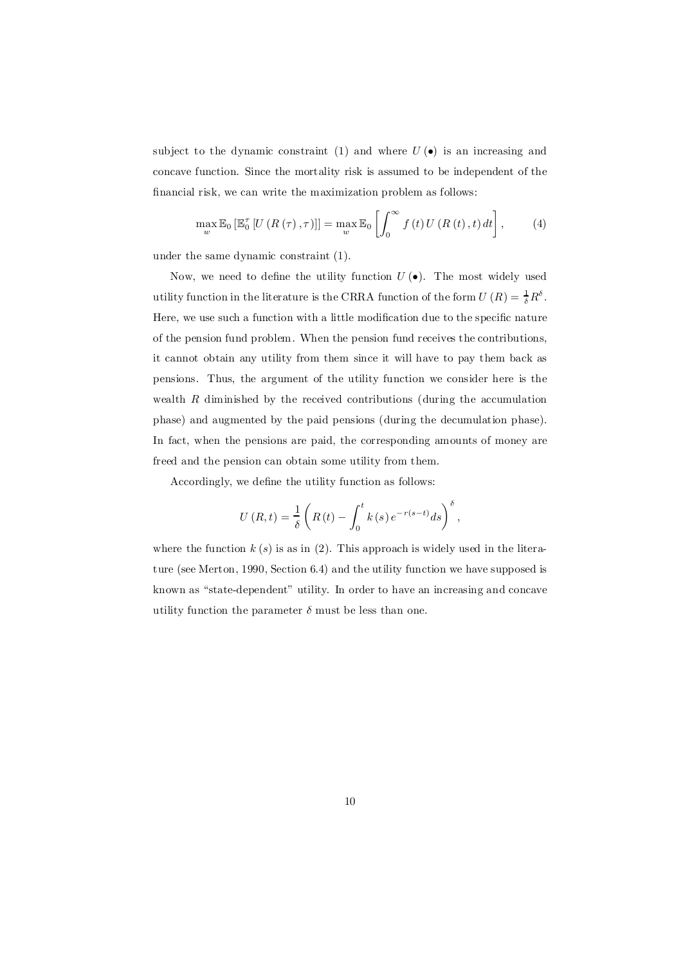subject to the dynamic constraint (1) and where  $U(\bullet)$  is an increasing and concave function. Since the mortality risk is assumed to be independent of the financial risk, we can write the maximization problem as follows:

$$
\max_{w} \mathbb{E}_{0} \left[ \mathbb{E}_{0}^{\tau} \left[ U \left( R \left( \tau \right), \tau \right) \right] \right] = \max_{w} \mathbb{E}_{0} \left[ \int_{0}^{\infty} f \left( t \right) U \left( R \left( t \right), t \right) dt \right], \tag{4}
$$

under the same dynamic constraint (1).

Now, we need to define the utility function  $U(\bullet)$ . The most widely used utility function in the literature is the CRRA function of the form  $U(R) = \frac{1}{\delta}R^{\delta}$ . Here, we use such a function with a little modification due to the specific nature of the pension fund problem. When the pension fund receives the contributions, it cannot obtain any utility from them since it will have to pay them back as pensions. Thus, the argument of the utility function we consider here is the wealth  $R$  diminished by the received contributions (during the accumulation phase) and augmented by the paid pensions (during the decumulation phase). In fact, when the pensions are paid, the corresponding amounts of money are freed and the pension can obtain some utility from them.

Accordingly, we define the utility function as follows:

$$
U(R,t) = \frac{1}{\delta} \left( R(t) - \int_0^t k(s) e^{-r(s-t)} ds \right)^{\delta},
$$

where the function  $k(s)$  is as in (2). This approach is widely used in the literature (see Merton, 1990, Section 6.4) and the utility function we have supposed is known as "state-dependent" utility. In order to have an increasing and concave utility function the parameter  $\delta$  must be less than one.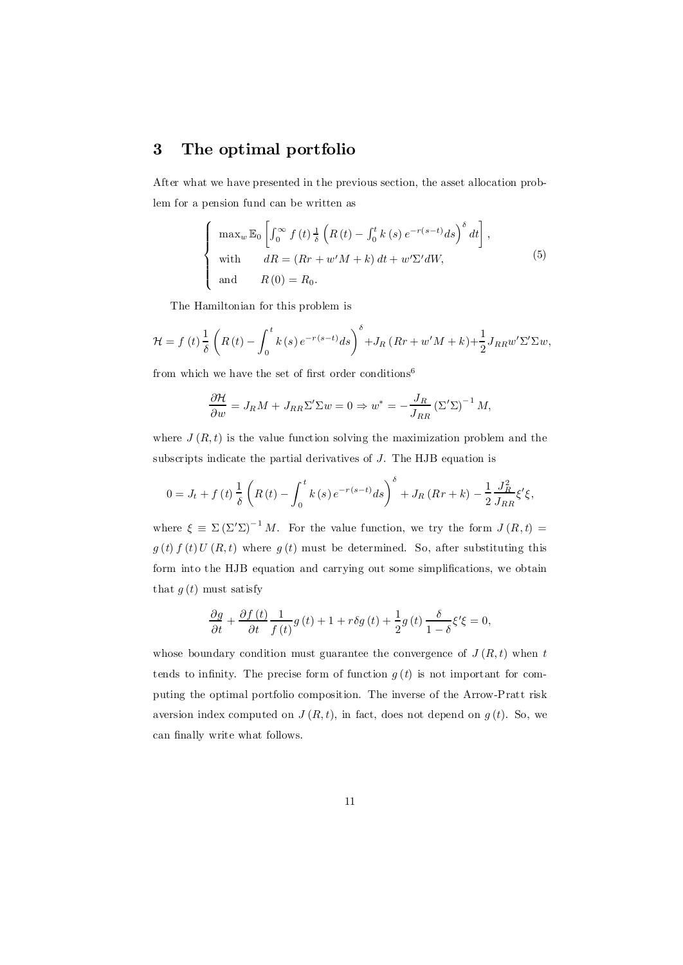# 3 The optimal portfolio

After what we have presented in the previous section, the asset allocation problem for a pension fund can be written as

$$
\begin{cases}\n\max_{w} \mathbb{E}_{0} \left[ \int_{0}^{\infty} f(t) \frac{1}{\delta} \left( R(t) - \int_{0}^{t} k(s) e^{-r(s-t)} ds \right)^{\delta} dt \right], \\
\text{with} \quad dR = (Rr + w'M + k) dt + w'\Sigma' dW, \\
\text{and} \quad R(0) = R_{0}.\n\end{cases}
$$
\n(5)

The Hamiltonian for this problem is

$$
\mathcal{H} = f\left(t\right) \frac{1}{\delta} \left(R\left(t\right) - \int_0^t k\left(s\right) e^{-r\left(s-t\right)} ds\right)^{\delta} + J_R\left(Rr + w'M + k\right) + \frac{1}{2} J_{RR} w' \Sigma' \Sigma w,
$$

from which we have the set of first order conditions<sup>6</sup>

$$
\frac{\partial \mathcal{H}}{\partial w} = J_R M + J_{RR} \Sigma' \Sigma w = 0 \Rightarrow w^* = -\frac{J_R}{J_{RR}} (\Sigma' \Sigma)^{-1} M,
$$

where  $J(R, t)$  is the value function solving the maximization problem and the subscripts indicate the partial derivatives of J. The HJB equation is

$$
0 = J_t + f(t) \frac{1}{\delta} \left( R(t) - \int_0^t k(s) e^{-r(s-t)} ds \right)^{\delta} + J_R(Rr + k) - \frac{1}{2} \frac{J_R^2}{J_{RR}} \xi' \xi,
$$

where  $\xi \equiv \Sigma (\Sigma' \Sigma)^{-1} M$ . For the value function, we try the form  $J(R, t) =$  $g(t) f(t) U(R, t)$  where  $g(t)$  must be determined. So, after substituting this form into the HJB equation and carrying out some simplifications, we obtain that  $g(t)$  must satisfy

$$
\frac{\partial g}{\partial t} + \frac{\partial f(t)}{\partial t} \frac{1}{f(t)} g(t) + 1 + r \delta g(t) + \frac{1}{2} g(t) \frac{\delta}{1 - \delta} \xi' \xi = 0,
$$

whose boundary condition must guarantee the convergence of  $J(R, t)$  when t tends to infinity. The precise form of function  $g(t)$  is not important for computing the optimal portfolio composition. The inverse of the Arrow-Pratt risk aversion index computed on  $J(R, t)$ , in fact, does not depend on  $g(t)$ . So, we can finally write what follows.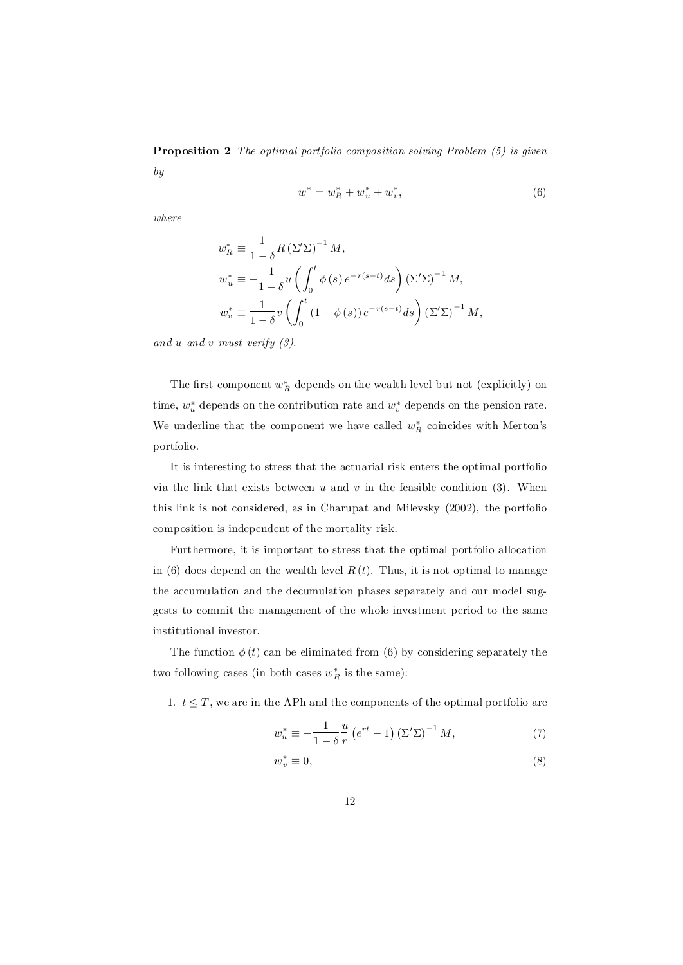Proposition 2 The optimal portfolio composition solving Problem (5) is given by

$$
w^* = w_R^* + w_u^* + w_v^*,\tag{6}
$$

where

$$
w_R^* \equiv \frac{1}{1-\delta} R \left(\Sigma' \Sigma\right)^{-1} M,
$$
  
\n
$$
w_u^* \equiv -\frac{1}{1-\delta} u \left(\int_0^t \phi(s) e^{-r(s-t)} ds\right) \left(\Sigma' \Sigma\right)^{-1} M,
$$
  
\n
$$
w_v^* \equiv \frac{1}{1-\delta} v \left(\int_0^t (1-\phi(s)) e^{-r(s-t)} ds\right) \left(\Sigma' \Sigma\right)^{-1} M,
$$

and u and v must verify  $(3)$ .

The first component  $w_R^*$  depends on the wealth level but not (explicitly) on time,  $w_u^*$  depends on the contribution rate and  $w_v^*$  depends on the pension rate. We underline that the component we have called  $w_R^*$  coincides with Merton's portfolio.

It is interesting to stress that the actuarial risk enters the optimal portfolio via the link that exists between  $u$  and  $v$  in the feasible condition (3). When this link is not considered, as in Charupat and Milevsky (2002), the portfolio composition is independent of the mortality risk.

Furthermore, it is important to stress that the optimal portfolio allocation in (6) does depend on the wealth level  $R(t)$ . Thus, it is not optimal to manage the accumulation and the decumulation phases separately and our model suggests to commit the management of the whole investment period to the same institutional investor.

The function  $\phi(t)$  can be eliminated from (6) by considering separately the two following cases (in both cases  $w_R^*$  is the same):

1.  $t \leq T$ , we are in the APh and the components of the optimal portfolio are

$$
w_u^* \equiv -\frac{1}{1-\delta} \frac{u}{r} \left( e^{rt} - 1 \right) \left( \Sigma' \Sigma \right)^{-1} M,\tag{7}
$$

$$
v_v^* \equiv 0,\tag{8}
$$

w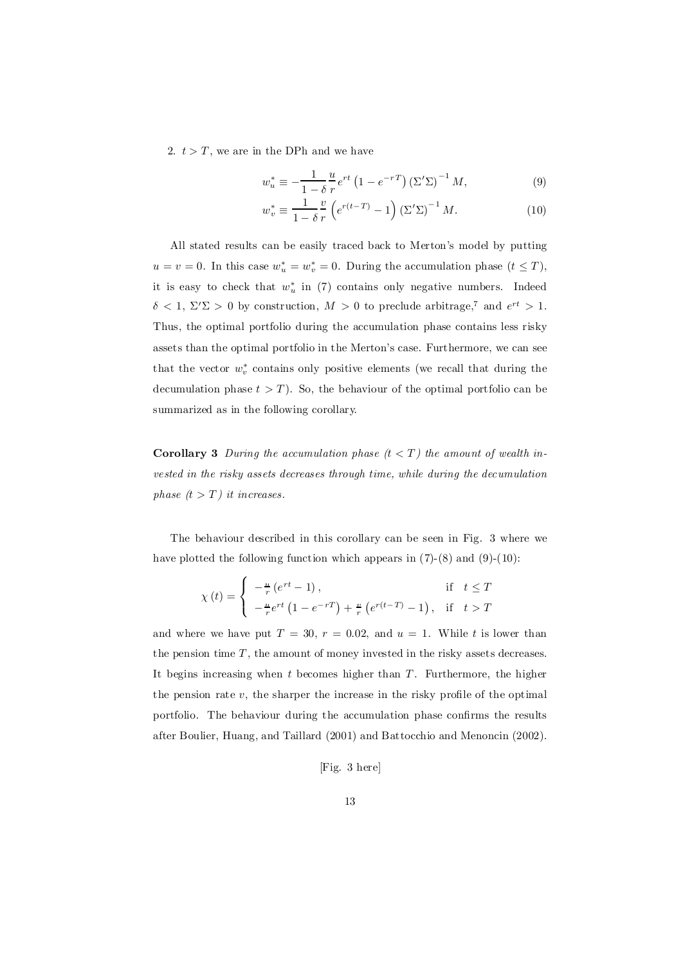2.  $t > T$ , we are in the DPh and we have

$$
w_u^* \equiv -\frac{1}{1-\delta} \frac{u}{r} e^{rt} \left(1 - e^{-rT}\right) \left(\Sigma' \Sigma\right)^{-1} M,\tag{9}
$$

$$
w_v^* \equiv \frac{1}{1-\delta} \frac{v}{r} \left( e^{r(t-T)} - 1 \right) \left( \Sigma' \Sigma \right)^{-1} M. \tag{10}
$$

All stated results can be easily traced back to Merton's model by putting  $u = v = 0$ . In this case  $w_u^* = w_v^* = 0$ . During the accumulation phase  $(t \leq T)$ , it is easy to check that  $w_u^*$  in (7) contains only negative numbers. Indeed  $\delta < 1, \Sigma' \Sigma > 0$  by construction,  $M > 0$  to preclude arbitrage,<sup>7</sup> and  $e^{rt} > 1$ . Thus, the optimal portfolio during the accumulation phase contains less risky assets than the optimal portfolio in the Merton's case. Furthermore, we can see that the vector  $w_v^*$  contains only positive elements (we recall that during the decumulation phase  $t > T$ ). So, the behaviour of the optimal portfolio can be summarized as in the following corollary.

**Corollary 3** During the accumulation phase  $(t < T)$  the amount of wealth invested in the risky assets decreases through time, while during the decumulation phase  $(t > T)$  it increases.

The behaviour described in this corollary can be seen in Fig. 3 where we have plotted the following function which appears in  $(7)-(8)$  and  $(9)-(10)$ :

$$
\chi(t) = \begin{cases}\n-\frac{u}{r} (e^{rt} - 1), & \text{if } t \le T \\
-\frac{u}{r} e^{rt} (1 - e^{-rT}) + \frac{u}{r} (e^{r(t-T)} - 1), & \text{if } t > T\n\end{cases}
$$

and where we have put  $T = 30$ ,  $r = 0.02$ , and  $u = 1$ . While t is lower than the pension time  $T$ , the amount of money invested in the risky assets decreases. It begins increasing when  $t$  becomes higher than  $T$ . Furthermore, the higher the pension rate  $v$ , the sharper the increase in the risky profile of the optimal portfolio. The behaviour during the accumulation phase confirms the results after Boulier, Huang, and Taillard (2001) and Battocchio and Menoncin (2002).

[Fig. 3 here]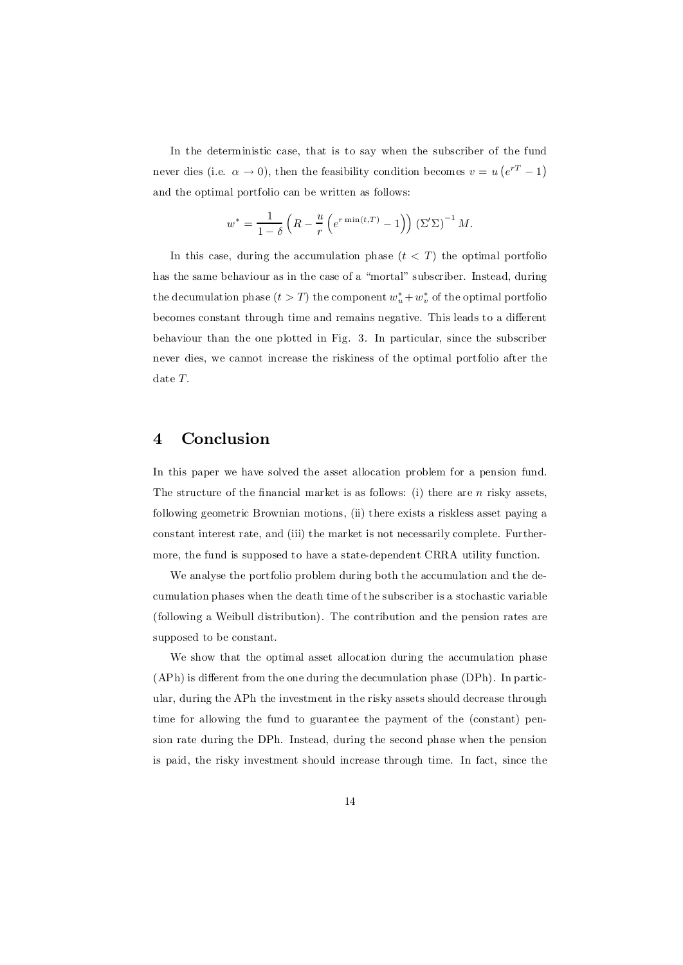In the deterministic case, that is to say when the subscriber of the fund never dies (i.e.  $\alpha \to 0$ ), then the feasibility condition becomes  $v = u\left(e^{rT} - 1\right)$ and the optimal portfolio can be written as follows:

$$
w^* = \frac{1}{1-\delta} \left( R - \frac{u}{r} \left( e^{r \min(t,T)} - 1 \right) \right) \left( \Sigma' \Sigma \right)^{-1} M.
$$

In this case, during the accumulation phase  $(t < T)$  the optimal portfolion has the same behaviour as in the case of a "mortal" subscriber. Instead, during the decumulation phase  $(t > T)$  the component  $w_u^* + w_v^*$  of the optimal portfolio becomes constant through time and remains negative. This leads to a different behaviour than the one plotted in Fig. 3. In particular, since the subscriber never dies, we cannot increase the riskiness of the optimal portfolio after the date T.

# 4 Conclusion

In this paper we have solved the asset allocation problem for a pension fund. The structure of the financial market is as follows: (i) there are  $n$  risky assets, following geometric Brownian motions, (ii) there exists a riskless asset paying a constant interest rate, and (iii) the market is not necessarily complete. Furthermore, the fund is supposed to have a state-dependent CRRA utility function.

We analyse the portfolio problem during both the accumulation and the decumulation phases when the death time of the subscriber is a stochastic variable (following a Weibull distribution). The contribution and the pension rates are supposed to be constant.

We show that the optimal asset allocation during the accumulation phase  $(APh)$  is different from the one during the decumulation phase  $(DPh)$ . In particular, during the APh the investment in the risky assets should decrease through time for allowing the fund to guarantee the payment of the (constant) pension rate during the DPh. Instead, during the second phase when the pension is paid, the risky investment should increase through time. In fact, since the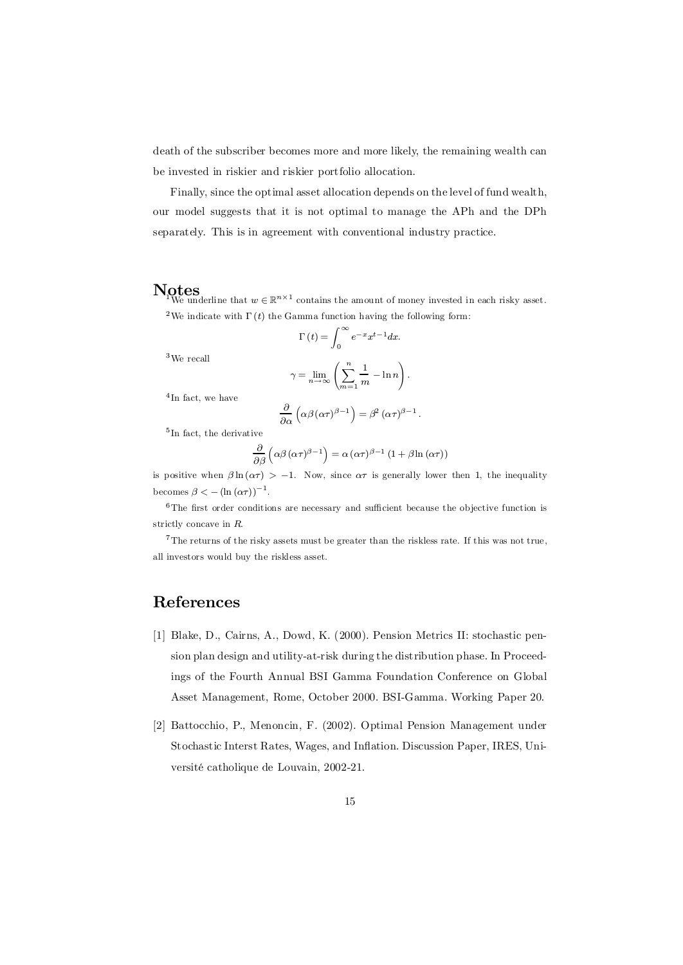death of the subscriber becomes more and more likely, the remaining wealth can be invested in riskier and riskier portfolio allocation.

Finally, since the optimal asset allocation depends on the level of fund wealth, our model suggests that it is not optimal to manage the APh and the DPh separately. This is in agreement with conventional industry practice.

**Notes**<br>We underline that  $w \in \mathbb{R}^{n \times 1}$  contains the amount of money invested in each risky asset. <sup>2</sup>We indicate with  $\Gamma(t)$  the Gamma function having the following form:

 $\Gamma(t) = \int_{0}^{\infty}$ 

 $^3\mathrm{We}$  recall

$$
\Gamma(t) = \int_0^{\infty} e^{-x} x^{t-1} dx.
$$

$$
\gamma = \lim_{n \to \infty} \left( \sum_{m=1}^n \frac{1}{m} - \ln n \right).
$$

<sup>4</sup>In fact, we have

$$
\frac{\partial}{\partial \alpha} \left( \alpha \beta (\alpha \tau)^{\beta - 1} \right) = \beta^2 (\alpha \tau)^{\beta - 1}.
$$

5 In fact, the derivative

$$
\frac{\partial}{\partial \beta} \left( \alpha \beta \left( \alpha \tau \right)^{\beta - 1} \right) = \alpha \left( \alpha \tau \right)^{\beta - 1} \left( 1 + \beta \ln \left( \alpha \tau \right) \right)
$$

is positive when  $\beta \ln(\alpha \tau) > -1$ . Now, since  $\alpha \tau$  is generally lower then 1, the inequality becomes  $\beta < -(\ln(\alpha \tau))^{-1}$ .

 $6$ The first order conditions are necessary and sufficient because the objective function is strictly concave in R.

<sup>7</sup>The returns of the risky assets must be greater than the riskless rate. If this was not true, all investors would buy the riskless asset.

# References

- [1] Blake, D., Cairns, A., Dowd, K. (2000). Pension Metrics II: stochastic pension plan design and utility-at-risk during the distribution phase. In Proceedings of the Fourth Annual BSI Gamma Foundation Conference on Global Asset Management, Rome, October 2000. BSI-Gamma. Working Paper 20.
- [2] Battocchio, P., Menoncin, F. (2002). Optimal Pension Management under Stochastic Interst Rates, Wages, and Inflation. Discussion Paper, IRES, Université catholique de Louvain, 2002-21.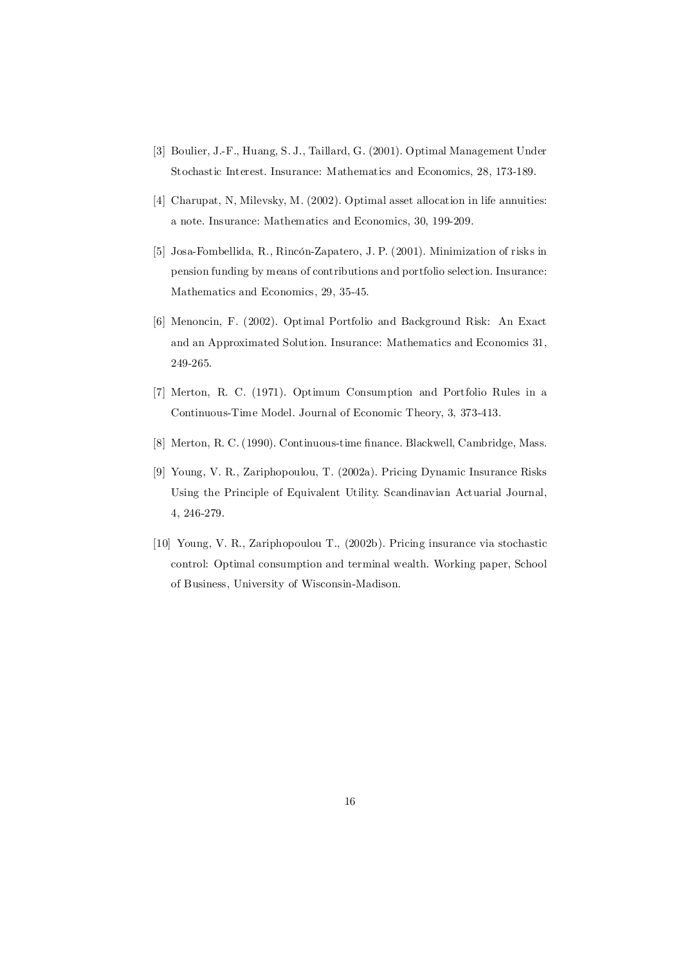- [3] Boulier, J.-F., Huang, S. J., Taillard, G. (2001). Optimal Management Under Stochastic Interest. Insurance: Mathematics and Economics, 28, 173-189.
- [4] Charupat, N, Milevsky, M. (2002). Optimal asset allocation in life annuities: a note. Insurance: Mathematics and Economics, 30, 199-209.
- [5] Josa-Fombellida, R., Rincón-Zapatero, J. P. (2001). Minimization of risks in pension funding by means of contributions and portfolio selection. Insurance: Mathematics and Economics, 29, 35-45.
- [6] Menoncin, F. (2002). Optimal Portfolio and Background Risk: An Exact and an Approximated Solution. Insurance: Mathematics and Economics 31, 249-265.
- [7] Merton, R. C. (1971). Optimum Consumption and Portfolio Rules in a Continuous-Time Model. Journal of Economic Theory, 3, 373-413.
- [8] Merton, R. C. (1990). Continuous-time finance. Blackwell, Cambridge, Mass.
- [9] Young, V. R., Zariphopoulou, T. (2002a). Pricing Dynamic Insurance Risks Using the Principle of Equivalent Utility. Scandinavian Actuarial Journal, 4, 246-279.
- [10] Young, V. R., Zariphopoulou T., (2002b). Pricing insurance via stochastic control: Optimal consumption and terminal wealth. Working paper, School of Business, University of Wisconsin-Madison.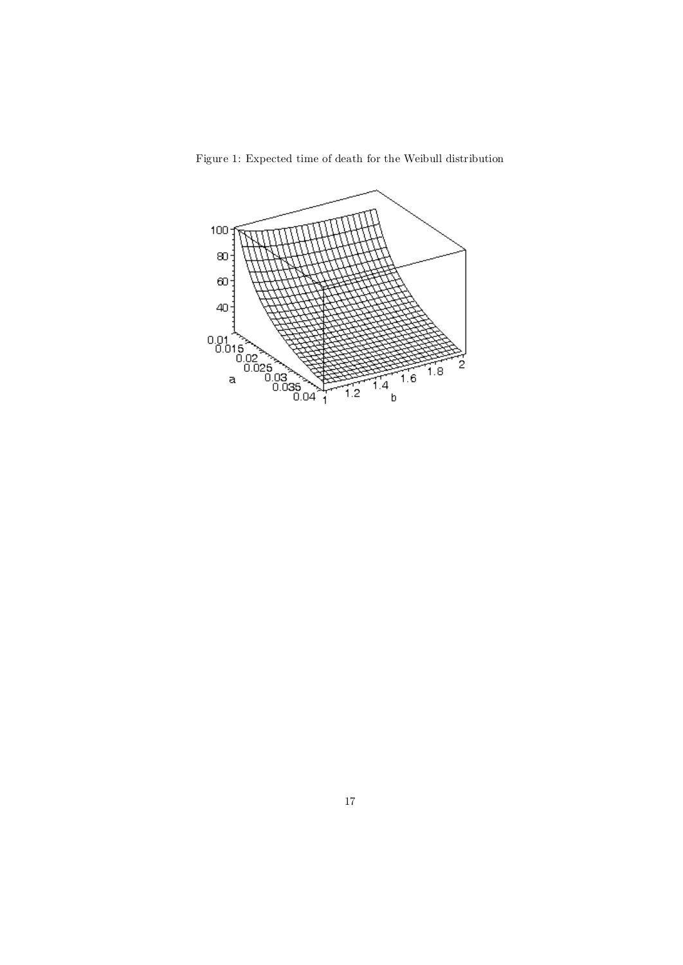

Figure 1: Expected time of death for the Weibull distribution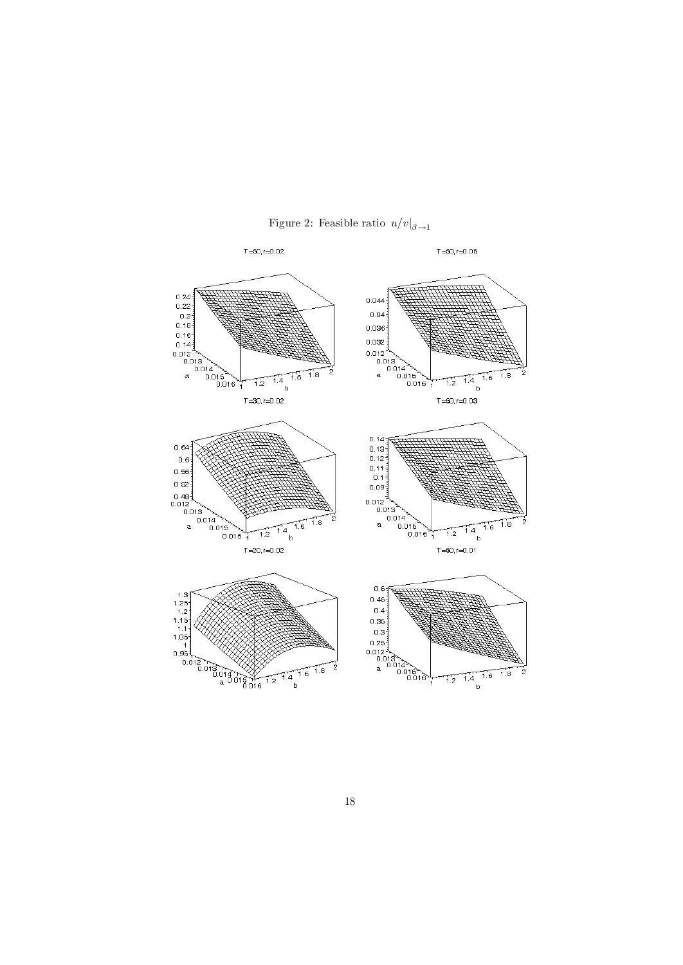

Figure 2: Feasible ratio  $u/v|_{\beta \to 1}$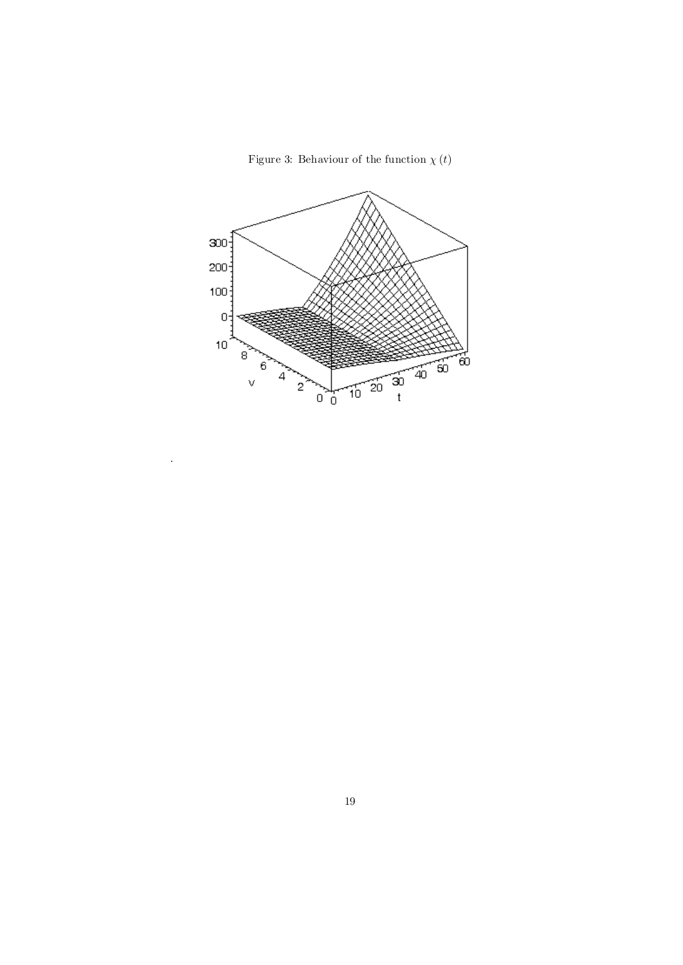Figure 3: Behaviour of the function  $\chi(t)$ 



.